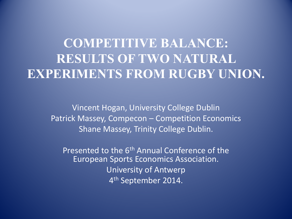# **COMPETITIVE BALANCE: RESULTS OF TWO NATURAL EXPERIMENTS FROM RUGBY UNION.**

Vincent Hogan, University College Dublin Patrick Massey, Compecon – Competition Economics Shane Massey, Trinity College Dublin.

Presented to the 6<sup>th</sup> Annual Conference of the European Sports Economics Association. University of Antwerp 4<sup>th</sup> September 2014.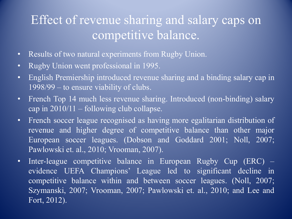## Effect of revenue sharing and salary caps on competitive balance.

- Results of two natural experiments from Rugby Union.
- Rugby Union went professional in 1995.
- English Premiership introduced revenue sharing and a binding salary cap in 1998/99 – to ensure viability of clubs.
- French Top 14 much less revenue sharing. Introduced (non-binding) salary cap in 2010/11 – following club collapse.
- French soccer league recognised as having more egalitarian distribution of revenue and higher degree of competitive balance than other major European soccer leagues. (Dobson and Goddard 2001; Noll, 2007; Pawlowski et. al., 2010; Vrooman, 2007).
- Inter-league competitive balance in European Rugby Cup (ERC) evidence UEFA Champions' League led to significant decline in competitive balance within and between soccer leagues. (Noll, 2007; Szymanski, 2007; Vrooman, 2007; Pawlowski et. al., 2010; and Lee and Fort, 2012).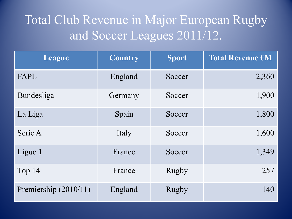# Total Club Revenue in Major European Rugby and Soccer Leagues 2011/12.

| League                | <b>Country</b> | <b>Sport</b> | Total Revenue €M |
|-----------------------|----------------|--------------|------------------|
| FAPL                  | England        | Soccer       | 2,360            |
| Bundesliga            | Germany        | Soccer       | 1,900            |
| La Liga               | Spain          | Soccer       | 1,800            |
| Serie A               | Italy          | Soccer       | 1,600            |
| Ligue 1               | France         | Soccer       | 1,349            |
| Top 14                | France         | Rugby        | 257              |
| Premiership (2010/11) | England        | <b>Rugby</b> | 140              |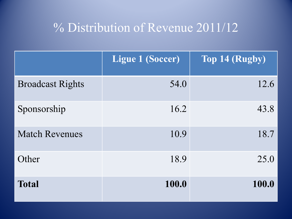### % Distribution of Revenue 2011/12

|                         | <b>Ligue 1 (Soccer)</b> | Top 14 (Rugby) |
|-------------------------|-------------------------|----------------|
| <b>Broadcast Rights</b> | 54.0                    | 12.6           |
| Sponsorship             | 16.2                    | 43.8           |
| <b>Match Revenues</b>   | 10.9                    | 18.7           |
| Other                   | 18.9                    | 25.0           |
| <b>Total</b>            | 100.0                   | 100.0          |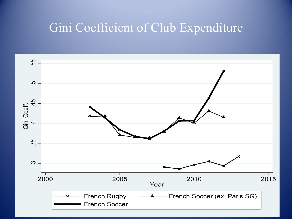#### Gini Coefficient of Club Expenditure

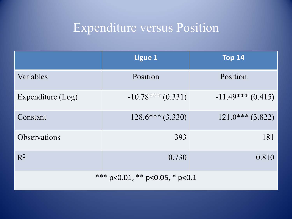# Expenditure versus Position

|                                | <b>Ligue 1</b>      | <b>Top 14</b>       |  |
|--------------------------------|---------------------|---------------------|--|
| Variables                      | Position            | Position            |  |
| Expenditure (Log)              | $-10.78***$ (0.331) | $-11.49***$ (0.415) |  |
| Constant                       | $128.6***(3.330)$   | $121.0***$ (3.822)  |  |
| <b>Observations</b>            | 393                 | 181                 |  |
| $R^2$                          | 0.730               | 0.810               |  |
| *** p<0.01, ** p<0.05, * p<0.1 |                     |                     |  |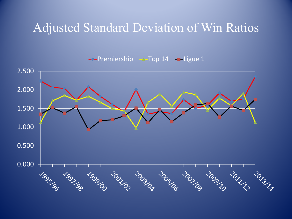### Adjusted Standard Deviation of Win Ratios

 $\rightarrow$  Premiership  $\rightarrow$  Top 14  $\rightarrow$  Ligue 1

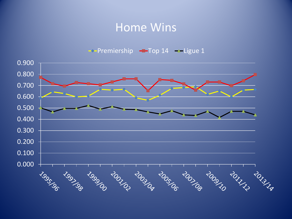#### Home Wins

 $\rightarrow$ Premiership  $\rightarrow$ Top 14  $\rightarrow$ Ligue 1

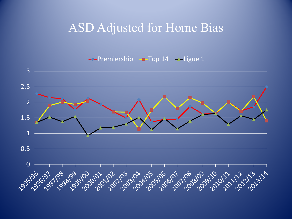#### ASD Adjusted for Home Bias

 $\rightarrow$ -Premiership  $\rightarrow$ Top 14  $\rightarrow$ -Ligue 1

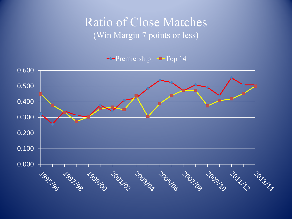#### Ratio of Close Matches (Win Margin 7 points or less)

 $-$ Premiership  $-$ Top 14

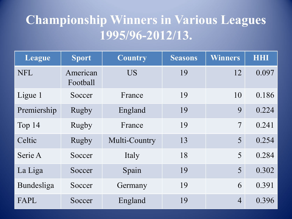## **Championship Winners in Various Leagues 1995/96-2012/13.**

| League      | <b>Sport</b>         | <b>Country</b> | <b>Seasons</b> | <b>Winners</b> | <b>HHI</b> |
|-------------|----------------------|----------------|----------------|----------------|------------|
| <b>NFL</b>  | American<br>Football | <b>US</b>      | 19             | 12             | 0.097      |
| Ligue 1     | Soccer               | 19<br>France   |                | 10             | 0.186      |
| Premiership | Rugby                | England        | 19             | 9              | 0.224      |
| Top 14      | <b>Rugby</b>         | France         | 19             | 7              | 0.241      |
| Celtic      | Rugby                | Multi-Country  | 13             | 5              | 0.254      |
| Serie A     | Soccer               | Italy          | 18             | 5              | 0.284      |
| La Liga     | Soccer               | Spain          | 19             | 5              | 0.302      |
| Bundesliga  | Soccer               | Germany        | 19             | 6              | 0.391      |
| FAPL        | Soccer               | England        | 19             | $\overline{4}$ | 0.396      |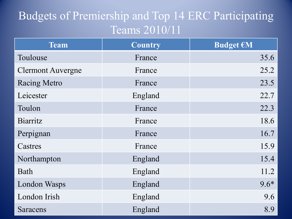### Budgets of Premiership and Top 14 ERC Participating Teams 2010/11

| Team                     | <b>Country</b> | <b>Budget €M</b> |
|--------------------------|----------------|------------------|
| Toulouse                 | France         | 35.6             |
| <b>Clermont Auvergne</b> | France         | 25.2             |
| <b>Racing Metro</b>      | France         | 23.5             |
| Leicester                | England        | 22.7             |
| Toulon                   | France         | 22.3             |
| <b>Biarritz</b>          | France         | 18.6             |
| Perpignan                | France         | 16.7             |
| Castres                  | France         | 15.9             |
| Northampton              | England        | 15.4             |
| Bath                     | England        | 11.2             |
| <b>London Wasps</b>      | England        | $9.6*$           |
| London Irish             | England        | 9.6              |
| Saracens                 | England        | 8.9              |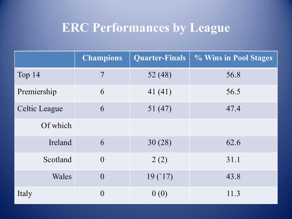## **ERC Performances by League**

|                      | <b>Champions</b> | <b>Quarter-Finals</b> | % Wins in Pool Stages |
|----------------------|------------------|-----------------------|-----------------------|
| Top 14               | $\overline{7}$   | 52 (48)               | 56.8                  |
| Premiership          | 6                | 41(41)                | 56.5                  |
| <b>Celtic League</b> | 6                | 51(47)                | 47.4                  |
| Of which             |                  |                       |                       |
| Ireland              | 6                | 30(28)                | 62.6                  |
| Scotland             | $\overline{0}$   | 2(2)                  | 31.1                  |
| Wales                | $\overline{0}$   | 19(17)                | 43.8                  |
| Italy                | $\overline{0}$   | 0(0)                  | 11.3                  |